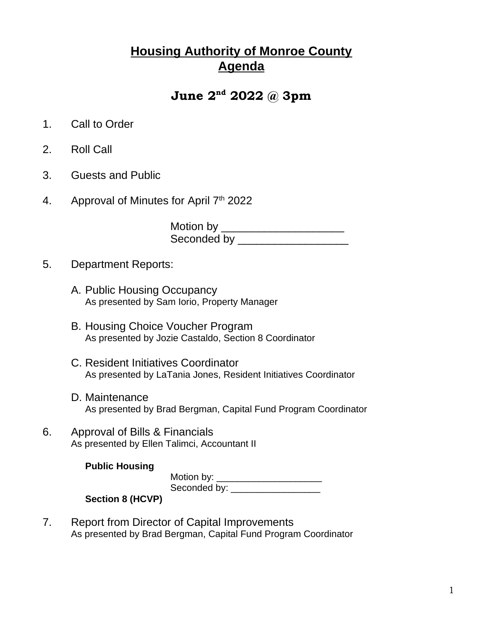## **Housing Authority of Monroe County Agenda**

## **June 2nd 2022 @ 3pm**

- 1. Call to Order
- 2. Roll Call
- 3. Guests and Public
- 4. Approval of Minutes for April 7<sup>th</sup> 2022

Motion by \_\_\_\_\_\_\_\_\_\_\_\_\_\_\_\_\_\_\_\_\_\_\_\_\_ Seconded by \_\_\_\_\_\_\_\_\_\_\_\_\_\_\_\_\_\_

- 5. Department Reports:
	- A. Public Housing Occupancy As presented by Sam Iorio, Property Manager
	- B. Housing Choice Voucher Program As presented by Jozie Castaldo, Section 8 Coordinator
	- C. Resident Initiatives Coordinator As presented by LaTania Jones, Resident Initiatives Coordinator
	- D. Maintenance As presented by Brad Bergman, Capital Fund Program Coordinator
- 6. Approval of Bills & Financials As presented by Ellen Talimci, Accountant II

## **Public Housing**

Motion by: \_\_\_\_\_\_\_\_\_\_\_\_\_\_\_\_\_\_\_\_\_\_\_\_\_ Seconded by: \_\_\_\_\_\_\_\_\_\_\_\_\_\_\_\_\_\_\_\_\_

## **Section 8 (HCVP)**

7. Report from Director of Capital Improvements As presented by Brad Bergman, Capital Fund Program Coordinator